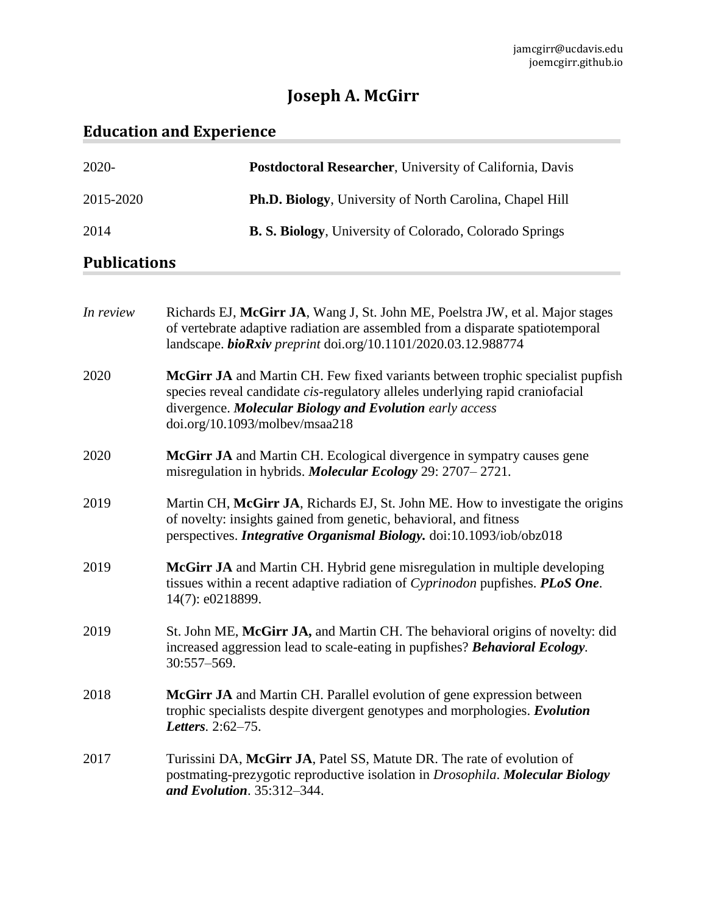# **Joseph A. McGirr**

# **Education and Experience**

| $2020 -$            | <b>Postdoctoral Researcher, University of California, Davis</b>  |
|---------------------|------------------------------------------------------------------|
| 2015-2020           | <b>Ph.D. Biology</b> , University of North Carolina, Chapel Hill |
| 2014                | <b>B. S. Biology</b> , University of Colorado, Colorado Springs  |
| <b>Publications</b> |                                                                  |

| In review | Richards EJ, McGirr JA, Wang J, St. John ME, Poelstra JW, et al. Major stages<br>of vertebrate adaptive radiation are assembled from a disparate spatiotemporal<br>landscape. bioRxiv preprint doi.org/10.1101/2020.03.12.988774                              |
|-----------|---------------------------------------------------------------------------------------------------------------------------------------------------------------------------------------------------------------------------------------------------------------|
| 2020      | McGirr JA and Martin CH. Few fixed variants between trophic specialist pupfish<br>species reveal candidate cis-regulatory alleles underlying rapid craniofacial<br>divergence. Molecular Biology and Evolution early access<br>doi.org/10.1093/molbev/msaa218 |
| 2020      | McGirr JA and Martin CH. Ecological divergence in sympatry causes gene<br>misregulation in hybrids. <i>Molecular Ecology</i> 29: 2707–2721.                                                                                                                   |
| 2019      | Martin CH, McGirr JA, Richards EJ, St. John ME. How to investigate the origins<br>of novelty: insights gained from genetic, behavioral, and fitness<br>perspectives. Integrative Organismal Biology. doi:10.1093/iob/obz018                                   |
| 2019      | McGirr JA and Martin CH. Hybrid gene misregulation in multiple developing<br>tissues within a recent adaptive radiation of Cyprinodon pupfishes. PLoS One.<br>14(7): e0218899.                                                                                |
| 2019      | St. John ME, McGirr JA, and Martin CH. The behavioral origins of novelty: did<br>increased aggression lead to scale-eating in pupfishes? Behavioral Ecology.<br>$30:557 - 569.$                                                                               |
| 2018      | McGirr JA and Martin CH. Parallel evolution of gene expression between<br>trophic specialists despite divergent genotypes and morphologies. Evolution<br>Letters. 2:62-75.                                                                                    |
| 2017      | Turissini DA, McGirr JA, Patel SS, Matute DR. The rate of evolution of<br>postmating-prezygotic reproductive isolation in Drosophila. Molecular Biology<br>and Evolution. 35:312-344.                                                                         |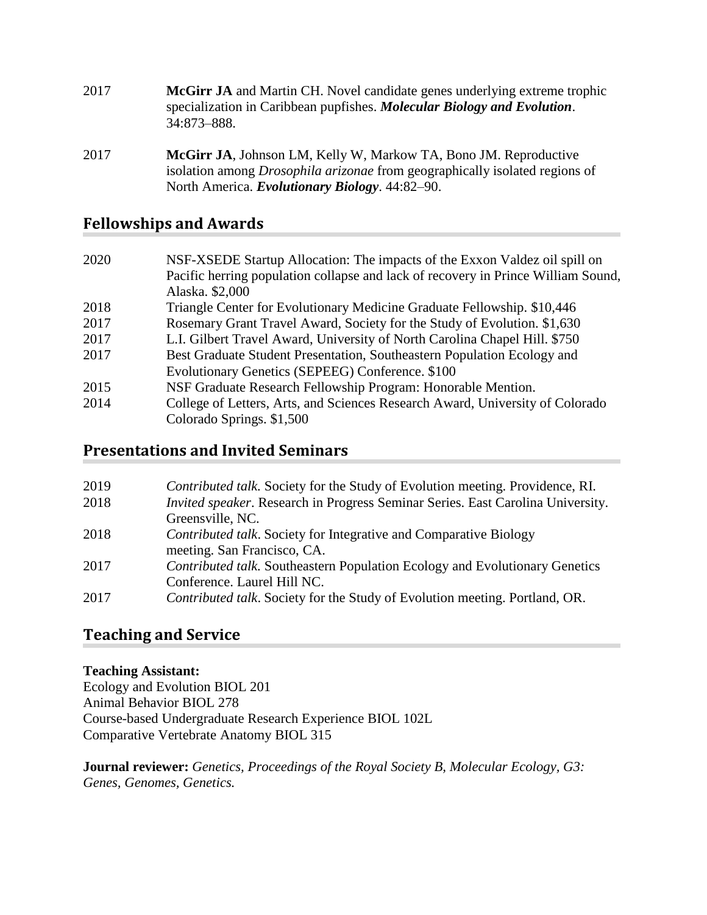- 2017 **McGirr JA** and Martin CH. Novel candidate genes underlying extreme trophic specialization in Caribbean pupfishes. *Molecular Biology and Evolution*. 34:873–888.
- 2017 **McGirr JA**, Johnson LM, Kelly W, Markow TA, Bono JM. Reproductive isolation among *Drosophila arizonae* from geographically isolated regions of North America. *Evolutionary Biology*. 44:82–90.

## **Fellowships and Awards**

 NSF-XSEDE Startup Allocation: The impacts of the Exxon Valdez oil spill on Pacific herring population collapse and lack of recovery in Prince William Sound, Alaska. \$2,000 Triangle Center for Evolutionary Medicine Graduate Fellowship. \$10,446 Rosemary Grant Travel Award, Society for the Study of Evolution. \$1,630 L.I. Gilbert Travel Award, University of North Carolina Chapel Hill. \$750 Best Graduate Student Presentation, Southeastern Population Ecology and Evolutionary Genetics (SEPEEG) Conference. \$100 NSF Graduate Research Fellowship Program: Honorable Mention. College of Letters, Arts, and Sciences Research Award, University of Colorado Colorado Springs. \$1,500

## **Presentations and Invited Seminars**

| 2019 | Contributed talk. Society for the Study of Evolution meeting. Providence, RI.          |
|------|----------------------------------------------------------------------------------------|
| 2018 | <i>Invited speaker.</i> Research in Progress Seminar Series. East Carolina University. |
|      | Greensville, NC.                                                                       |
| 2018 | Contributed talk. Society for Integrative and Comparative Biology                      |
|      | meeting. San Francisco, CA.                                                            |
| 2017 | Contributed talk. Southeastern Population Ecology and Evolutionary Genetics            |
|      | Conference. Laurel Hill NC.                                                            |
| 2017 | Contributed talk. Society for the Study of Evolution meeting. Portland, OR.            |

## **Teaching and Service**

#### **Teaching Assistant:**

Ecology and Evolution BIOL 201 Animal Behavior BIOL 278 Course-based Undergraduate Research Experience BIOL 102L Comparative Vertebrate Anatomy BIOL 315

**Journal reviewer:** *Genetics, Proceedings of the Royal Society B, Molecular Ecology, G3: Genes, Genomes, Genetics.*